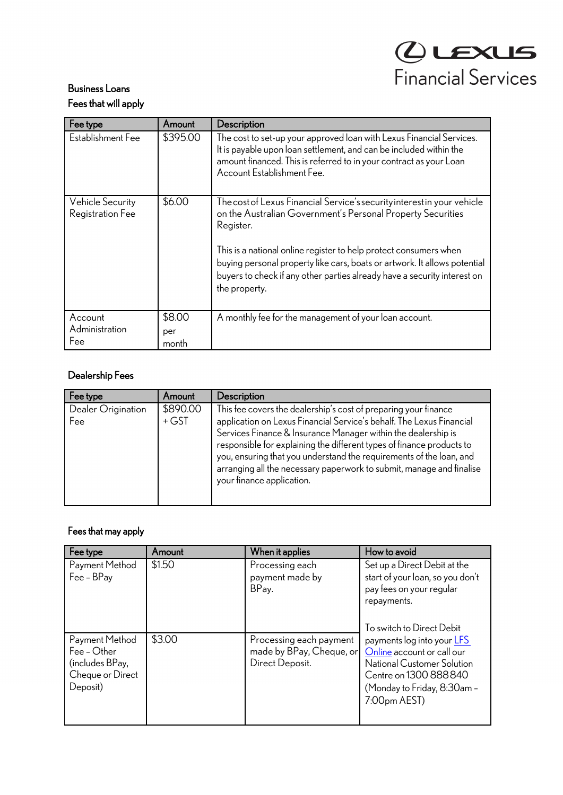## *C* LEXUS<br>Financial Services

## Business Loans Fees that will apply

| Fee type                                    | Amount                 | <b>Description</b>                                                                                                                                                                                                                                                                                                                                                                                 |
|---------------------------------------------|------------------------|----------------------------------------------------------------------------------------------------------------------------------------------------------------------------------------------------------------------------------------------------------------------------------------------------------------------------------------------------------------------------------------------------|
| Establishment Fee                           | \$395.00               | The cost to set-up your approved loan with Lexus Financial Services.<br>It is payable upon loan settlement, and can be included within the<br>amount financed. This is referred to in your contract as your Loan<br>Account Establishment Fee.                                                                                                                                                     |
| <b>Vehicle Security</b><br>Registration Fee | \$6.00                 | The cost of Lexus Financial Service's security interest in your vehicle<br>on the Australian Government's Personal Property Securities<br>Register.<br>This is a national online register to help protect consumers when<br>buying personal property like cars, boats or artwork. It allows potential<br>buyers to check if any other parties already have a security interest on<br>the property. |
| Account<br>Administration<br>Fee            | \$8.00<br>per<br>month | A monthly fee for the management of your loan account.                                                                                                                                                                                                                                                                                                                                             |

## Dealership Fees

| Fee type                  | Amount              | Description                                                                                                                                                                                                                                                                                                                                                                                                                                                   |
|---------------------------|---------------------|---------------------------------------------------------------------------------------------------------------------------------------------------------------------------------------------------------------------------------------------------------------------------------------------------------------------------------------------------------------------------------------------------------------------------------------------------------------|
| Dealer Origination<br>Fee | \$890.00<br>$+$ GST | This fee covers the dealership's cost of preparing your finance<br>application on Lexus Financial Service's behalf. The Lexus Financial<br>Services Finance & Insurance Manager within the dealership is<br>responsible for explaining the different types of finance products to<br>you, ensuring that you understand the requirements of the loan, and<br>arranging all the necessary paperwork to submit, manage and finalise<br>your finance application. |

## Fees that may apply

| Fee type                                                                         | Amount | When it applies                                                        | How to avoid                                                                                                                                                          |
|----------------------------------------------------------------------------------|--------|------------------------------------------------------------------------|-----------------------------------------------------------------------------------------------------------------------------------------------------------------------|
| Payment Method<br>Fee - BPay                                                     | \$1.50 | Processing each<br>payment made by<br>BPay.                            | Set up a Direct Debit at the<br>start of your loan, so you don't<br>pay fees on your regular<br>repayments.<br>To switch to Direct Debit                              |
| Payment Method<br>Fee - Other<br>(includes BPay,<br>Cheque or Direct<br>Deposit) | \$3.00 | Processing each payment<br>made by BPay, Cheque, or<br>Direct Deposit. | payments log into your <b>LFS</b><br>Online account or call our<br>National Customer Solution<br>Centre on 1300 888840<br>(Monday to Friday, 8:30am -<br>7:00pm AEST) |